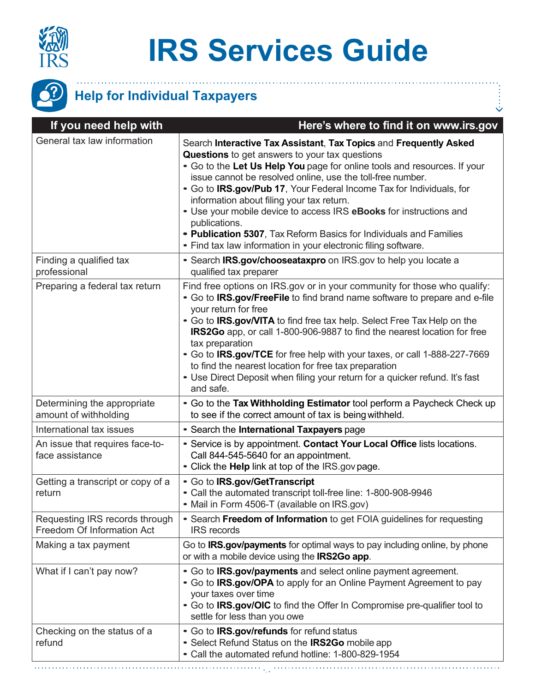

## **IRS Services Guide**

 $\ddot{\mathbb{S}}$ 



## **Help for Individual Taxpayers**

| If you need help with                                        | Here's where to find it on www.irs.gov                                                                                                                                                                                                                                                                                                                                                                                                                                                                                                                                                                                   |
|--------------------------------------------------------------|--------------------------------------------------------------------------------------------------------------------------------------------------------------------------------------------------------------------------------------------------------------------------------------------------------------------------------------------------------------------------------------------------------------------------------------------------------------------------------------------------------------------------------------------------------------------------------------------------------------------------|
| General tax law information                                  | Search Interactive Tax Assistant, Tax Topics and Frequently Asked<br><b>Questions</b> to get answers to your tax questions<br>• Go to the Let Us Help You page for online tools and resources. If your<br>issue cannot be resolved online, use the toll-free number.<br>• Go to IRS.gov/Pub 17, Your Federal Income Tax for Individuals, for<br>information about filing your tax return.<br>• Use your mobile device to access IRS eBooks for instructions and<br>publications.<br>• Publication 5307, Tax Reform Basics for Individuals and Families<br>• Find tax law information in your electronic filing software. |
| Finding a qualified tax<br>professional                      | • Search IRS.gov/chooseataxpro on IRS.gov to help you locate a<br>qualified tax preparer                                                                                                                                                                                                                                                                                                                                                                                                                                                                                                                                 |
| Preparing a federal tax return                               | Find free options on IRS.gov or in your community for those who qualify:<br>• Go to IRS.gov/FreeFile to find brand name software to prepare and e-file<br>your return for free<br>• Go to IRS.gov/VITA to find free tax help. Select Free Tax Help on the<br>IRS2Go app, or call 1-800-906-9887 to find the nearest location for free<br>tax preparation<br>• Go to IRS.gov/TCE for free help with your taxes, or call 1-888-227-7669<br>to find the nearest location for free tax preparation<br>• Use Direct Deposit when filing your return for a quicker refund. It's fast<br>and safe.                              |
| Determining the appropriate<br>amount of withholding         | • Go to the Tax Withholding Estimator tool perform a Paycheck Check up<br>to see if the correct amount of tax is being withheld.                                                                                                                                                                                                                                                                                                                                                                                                                                                                                         |
| International tax issues                                     | • Search the International Taxpayers page                                                                                                                                                                                                                                                                                                                                                                                                                                                                                                                                                                                |
| An issue that requires face-to-<br>face assistance           | • Service is by appointment. Contact Your Local Office lists locations.<br>Call 844-545-5640 for an appointment.<br>• Click the Help link at top of the IRS.gov page.                                                                                                                                                                                                                                                                                                                                                                                                                                                    |
| Getting a transcript or copy of a<br>return                  | • Go to IRS.gov/GetTranscript<br>• Call the automated transcript toll-free line: 1-800-908-9946<br>• Mail in Form 4506-T (available on IRS.gov)                                                                                                                                                                                                                                                                                                                                                                                                                                                                          |
| Requesting IRS records through<br>Freedom Of Information Act | • Search Freedom of Information to get FOIA guidelines for requesting<br><b>IRS</b> records                                                                                                                                                                                                                                                                                                                                                                                                                                                                                                                              |
| Making a tax payment                                         | Go to <b>IRS.gov/payments</b> for optimal ways to pay including online, by phone<br>or with a mobile device using the <b>IRS2Go app</b> .                                                                                                                                                                                                                                                                                                                                                                                                                                                                                |
| What if I can't pay now?                                     | • Go to IRS.gov/payments and select online payment agreement.<br>• Go to IRS.gov/OPA to apply for an Online Payment Agreement to pay<br>your taxes over time<br>. Go to IRS.gov/OIC to find the Offer In Compromise pre-qualifier tool to<br>settle for less than you owe                                                                                                                                                                                                                                                                                                                                                |
| Checking on the status of a<br>refund                        | . Go to IRS.gov/refunds for refund status<br>• Select Refund Status on the IRS2Go mobile app<br>• Call the automated refund hotline: 1-800-829-1954                                                                                                                                                                                                                                                                                                                                                                                                                                                                      |